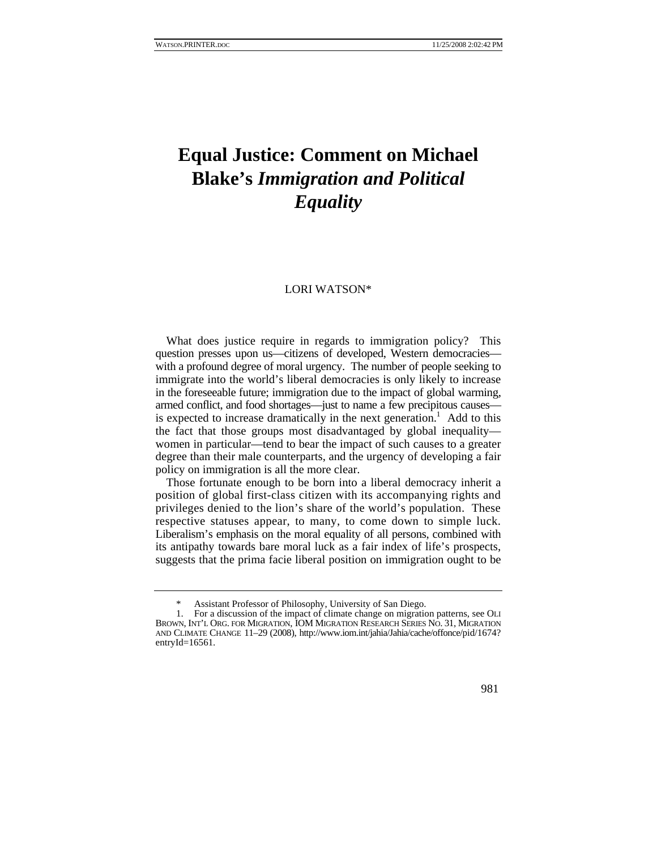## **Equal Justice: Comment on Michael Blake's** *Immigration and Political Equality*

## LORI WATSON\*

What does justice require in regards to immigration policy? This question presses upon us—citizens of developed, Western democracies with a profound degree of moral urgency. The number of people seeking to immigrate into the world's liberal democracies is only likely to increase in the foreseeable future; immigration due to the impact of global warming, armed conflict, and food shortages—just to name a few precipitous causes is expected to increase dramatically in the next generation.<sup>1</sup> Add to this the fact that those groups most disadvantaged by global inequality women in particular—tend to bear the impact of such causes to a greater degree than their male counterparts, and the urgency of developing a fair policy on immigration is all the more clear.

Those fortunate enough to be born into a liberal democracy inherit a position of global first-class citizen with its accompanying rights and privileges denied to the lion's share of the world's population. These respective statuses appear, to many, to come down to simple luck. Liberalism's emphasis on the moral equality of all persons, combined with its antipathy towards bare moral luck as a fair index of life's prospects, suggests that the prima facie liberal position on immigration ought to be

981

Assistant Professor of Philosophy, University of San Diego.

 <sup>1.</sup> For a discussion of the impact of climate change on migration patterns, see OLI BROWN, INT'L ORG. FOR MIGRATION, IOM MIGRATION RESEARCH SERIES NO. 31, MIGRATION AND CLIMATE CHANGE 11–29 (2008), http://www.iom.int/jahia/Jahia/cache/offonce/pid/1674? entryId= $16561$ .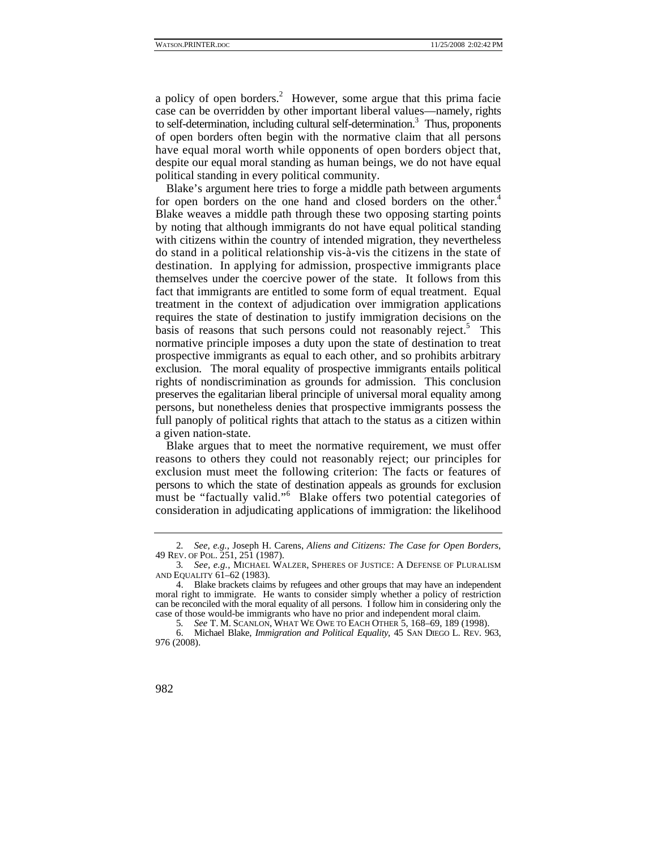a policy of open borders.<sup>2</sup> However, some argue that this prima facie case can be overridden by other important liberal values—namely, rights to self-determination, including cultural self-determination.<sup>3</sup> Thus, proponents of open borders often begin with the normative claim that all persons have equal moral worth while opponents of open borders object that, despite our equal moral standing as human beings, we do not have equal political standing in every political community.

Blake's argument here tries to forge a middle path between arguments for open borders on the one hand and closed borders on the other.<sup>4</sup> Blake weaves a middle path through these two opposing starting points by noting that although immigrants do not have equal political standing with citizens within the country of intended migration, they nevertheless do stand in a political relationship vis-à-vis the citizens in the state of destination. In applying for admission, prospective immigrants place themselves under the coercive power of the state. It follows from this fact that immigrants are entitled to some form of equal treatment. Equal treatment in the context of adjudication over immigration applications requires the state of destination to justify immigration decisions on the basis of reasons that such persons could not reasonably reject.<sup>5</sup> This normative principle imposes a duty upon the state of destination to treat prospective immigrants as equal to each other, and so prohibits arbitrary exclusion. The moral equality of prospective immigrants entails political rights of nondiscrimination as grounds for admission. This conclusion preserves the egalitarian liberal principle of universal moral equality among persons, but nonetheless denies that prospective immigrants possess the full panoply of political rights that attach to the status as a citizen within a given nation-state.

Blake argues that to meet the normative requirement, we must offer reasons to others they could not reasonably reject; our principles for exclusion must meet the following criterion: The facts or features of persons to which the state of destination appeals as grounds for exclusion must be "factually valid."<sup>6</sup> Blake offers two potential categories of consideration in adjudicating applications of immigration: the likelihood

<sup>2</sup>*. See, e.g.*, Joseph H. Carens, *Aliens and Citizens: The Case for Open Borders*, 49 REV. OF POL. 251, 251 (1987).

<sup>3</sup>*. See, e.g.*, MICHAEL WALZER, SPHERES OF JUSTICE: A DEFENSE OF PLURALISM AND EQUALITY 61–62 (1983).

 <sup>4.</sup> Blake brackets claims by refugees and other groups that may have an independent moral right to immigrate. He wants to consider simply whether a policy of restriction can be reconciled with the moral equality of all persons. I follow him in considering only the case of those would-be immigrants who have no prior and independent moral claim.

<sup>5</sup>*. See* T. M. SCANLON, WHAT WE OWE TO EACH OTHER 5, 168–69, 189 (1998).

 <sup>6.</sup> Michael Blake, *Immigration and Political Equality*, 45 SAN DIEGO L. REV. 963, 976 (2008).

<sup>982</sup>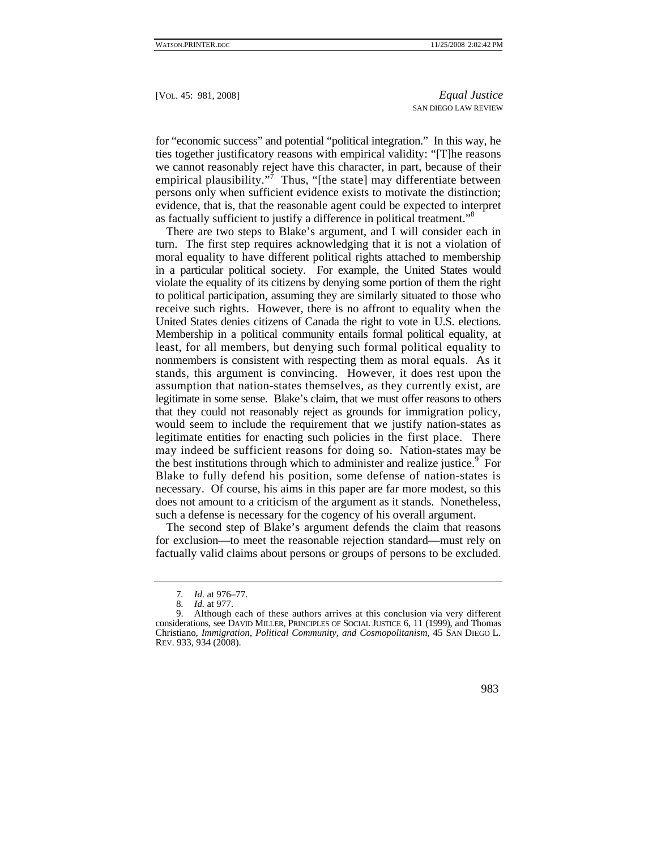for "economic success" and potential "political integration." In this way, he ties together justificatory reasons with empirical validity: "[T]he reasons we cannot reasonably reject have this character, in part, because of their empirical plausibility."<sup>7</sup> Thus, "[the state] may differentiate between persons only when sufficient evidence exists to motivate the distinction; evidence, that is, that the reasonable agent could be expected to interpret as factually sufficient to justify a difference in political treatment."8

There are two steps to Blake's argument, and I will consider each in turn. The first step requires acknowledging that it is not a violation of moral equality to have different political rights attached to membership in a particular political society. For example, the United States would violate the equality of its citizens by denying some portion of them the right to political participation, assuming they are similarly situated to those who receive such rights. However, there is no affront to equality when the United States denies citizens of Canada the right to vote in U.S. elections. Membership in a political community entails formal political equality, at least, for all members, but denying such formal political equality to nonmembers is consistent with respecting them as moral equals. As it stands, this argument is convincing. However, it does rest upon the assumption that nation-states themselves, as they currently exist, are legitimate in some sense. Blake's claim, that we must offer reasons to others that they could not reasonably reject as grounds for immigration policy, would seem to include the requirement that we justify nation-states as legitimate entities for enacting such policies in the first place. There may indeed be sufficient reasons for doing so. Nation-states may be the best institutions through which to administer and realize justice.<sup>9</sup> For Blake to fully defend his position, some defense of nation-states is necessary. Of course, his aims in this paper are far more modest, so this does not amount to a criticism of the argument as it stands. Nonetheless, such a defense is necessary for the cogency of his overall argument.

The second step of Blake's argument defends the claim that reasons for exclusion—to meet the reasonable rejection standard—must rely on factually valid claims about persons or groups of persons to be excluded.

 <sup>9.</sup> Although each of these authors arrives at this conclusion via very different considerations, see DAVID MILLER, PRINCIPLES OF SOCIAL JUSTICE 6, 11 (1999), and Thomas Christiano, *Immigration, Political Community, and Cosmopolitanism*, 45 SAN DIEGO L. REV. 933, 934 (2008).



<sup>7</sup>*. Id.* at 976–77.

<sup>8</sup>*. Id.* at 977.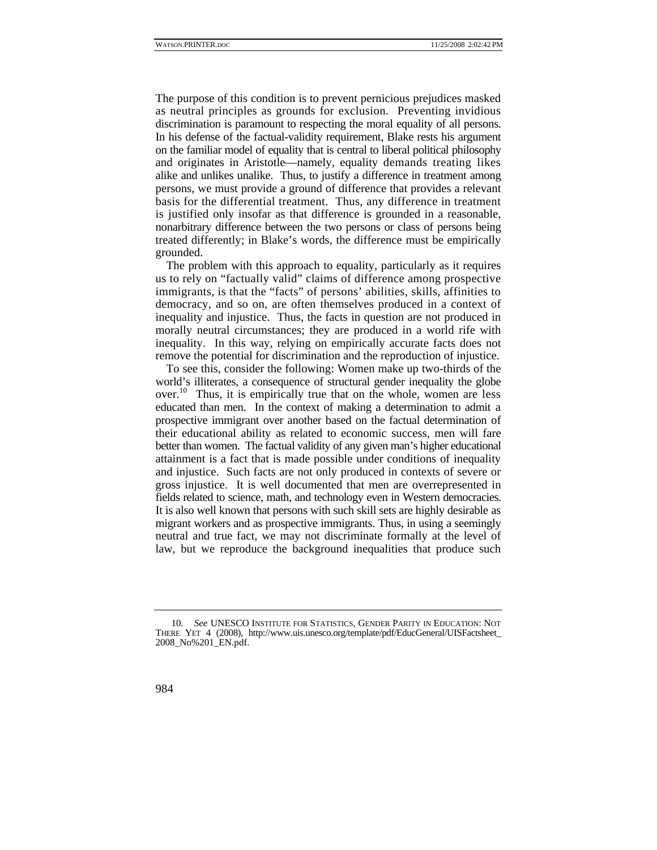The purpose of this condition is to prevent pernicious prejudices masked as neutral principles as grounds for exclusion. Preventing invidious discrimination is paramount to respecting the moral equality of all persons. In his defense of the factual-validity requirement, Blake rests his argument on the familiar model of equality that is central to liberal political philosophy and originates in Aristotle—namely, equality demands treating likes alike and unlikes unalike. Thus, to justify a difference in treatment among persons, we must provide a ground of difference that provides a relevant basis for the differential treatment. Thus, any difference in treatment is justified only insofar as that difference is grounded in a reasonable, nonarbitrary difference between the two persons or class of persons being treated differently; in Blake's words, the difference must be empirically grounded.

The problem with this approach to equality, particularly as it requires us to rely on "factually valid" claims of difference among prospective immigrants, is that the "facts" of persons' abilities, skills, affinities to democracy, and so on, are often themselves produced in a context of inequality and injustice. Thus, the facts in question are not produced in morally neutral circumstances; they are produced in a world rife with inequality. In this way, relying on empirically accurate facts does not remove the potential for discrimination and the reproduction of injustice.

To see this, consider the following: Women make up two-thirds of the world's illiterates, a consequence of structural gender inequality the globe over.<sup>10</sup> Thus, it is empirically true that on the whole, women are less educated than men. In the context of making a determination to admit a prospective immigrant over another based on the factual determination of their educational ability as related to economic success, men will fare better than women. The factual validity of any given man's higher educational attainment is a fact that is made possible under conditions of inequality and injustice. Such facts are not only produced in contexts of severe or gross injustice. It is well documented that men are overrepresented in fields related to science, math, and technology even in Western democracies. It is also well known that persons with such skill sets are highly desirable as migrant workers and as prospective immigrants. Thus, in using a seemingly neutral and true fact, we may not discriminate formally at the level of law, but we reproduce the background inequalities that produce such

<sup>10</sup>*. See* UNESCO INSTITUTE FOR STATISTICS, GENDER PARITY IN EDUCATION: NOT THERE YET 4 (2008), http://www.uis.unesco.org/template/pdf/EducGeneral/UISFactsheet\_ 2008\_No%201\_EN.pdf.

<sup>984</sup>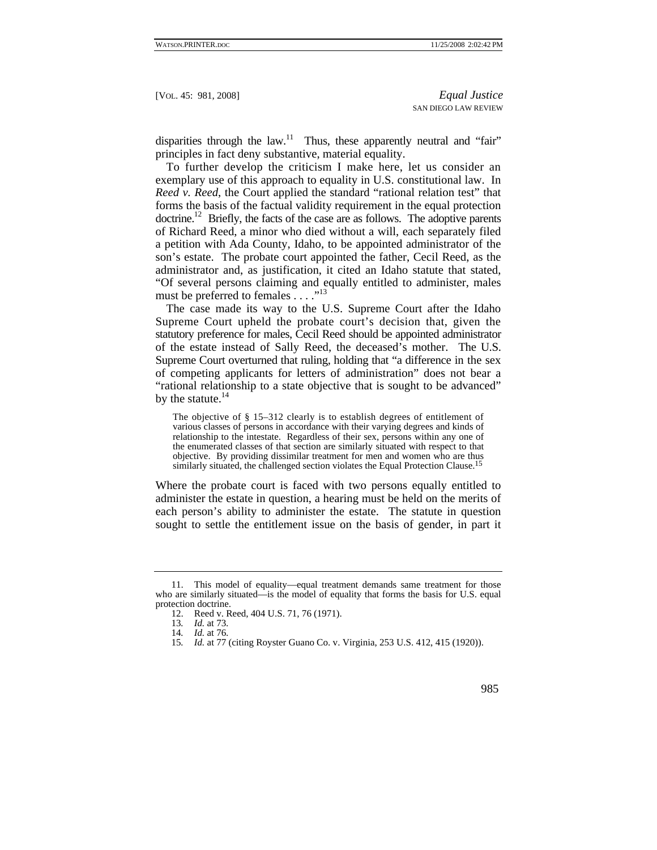disparities through the law. $11$  Thus, these apparently neutral and "fair" principles in fact deny substantive, material equality.

To further develop the criticism I make here, let us consider an exemplary use of this approach to equality in U.S. constitutional law. In *Reed v. Reed*, the Court applied the standard "rational relation test" that forms the basis of the factual validity requirement in the equal protection doctrine.<sup>12</sup> Briefly, the facts of the case are as follows. The adoptive parents of Richard Reed, a minor who died without a will, each separately filed a petition with Ada County, Idaho, to be appointed administrator of the son's estate. The probate court appointed the father, Cecil Reed, as the administrator and, as justification, it cited an Idaho statute that stated, "Of several persons claiming and equally entitled to administer, males must be preferred to females . . . ."<sup>13</sup>

The case made its way to the U.S. Supreme Court after the Idaho Supreme Court upheld the probate court's decision that, given the statutory preference for males, Cecil Reed should be appointed administrator of the estate instead of Sally Reed, the deceased's mother. The U.S. Supreme Court overturned that ruling, holding that "a difference in the sex of competing applicants for letters of administration" does not bear a "rational relationship to a state objective that is sought to be advanced" by the statute. $^{14}$ 

The objective of § 15–312 clearly is to establish degrees of entitlement of various classes of persons in accordance with their varying degrees and kinds of relationship to the intestate. Regardless of their sex, persons within any one of the enumerated classes of that section are similarly situated with respect to that objective. By providing dissimilar treatment for men and women who are thus similarly situated, the challenged section violates the Equal Protection Clause.<sup>15</sup>

Where the probate court is faced with two persons equally entitled to administer the estate in question, a hearing must be held on the merits of each person's ability to administer the estate. The statute in question sought to settle the entitlement issue on the basis of gender, in part it

<sup>15</sup>*. Id.* at 77 (citing Royster Guano Co. v. Virginia, 253 U.S. 412, 415 (1920)).



 <sup>11.</sup> This model of equality—equal treatment demands same treatment for those who are similarly situated—is the model of equality that forms the basis for U.S. equal protection doctrine.

 <sup>12.</sup> Reed v. Reed, 404 U.S. 71, 76 (1971).

<sup>13</sup>*. Id.* at 73.

<sup>14</sup>*. Id.* at 76.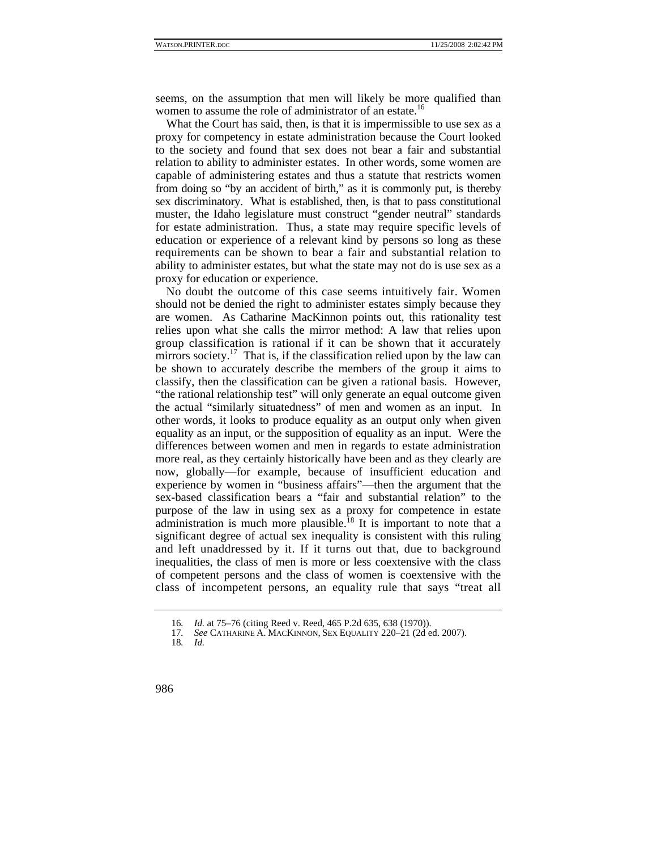seems, on the assumption that men will likely be more qualified than women to assume the role of administrator of an estate.<sup>16</sup>

What the Court has said, then, is that it is impermissible to use sex as a proxy for competency in estate administration because the Court looked to the society and found that sex does not bear a fair and substantial relation to ability to administer estates. In other words, some women are capable of administering estates and thus a statute that restricts women from doing so "by an accident of birth," as it is commonly put, is thereby sex discriminatory. What is established, then, is that to pass constitutional muster, the Idaho legislature must construct "gender neutral" standards for estate administration. Thus, a state may require specific levels of education or experience of a relevant kind by persons so long as these requirements can be shown to bear a fair and substantial relation to ability to administer estates, but what the state may not do is use sex as a proxy for education or experience.

No doubt the outcome of this case seems intuitively fair. Women should not be denied the right to administer estates simply because they are women. As Catharine MacKinnon points out, this rationality test relies upon what she calls the mirror method: A law that relies upon group classification is rational if it can be shown that it accurately mirrors society.<sup>17</sup> That is, if the classification relied upon by the law can be shown to accurately describe the members of the group it aims to classify, then the classification can be given a rational basis. However, "the rational relationship test" will only generate an equal outcome given the actual "similarly situatedness" of men and women as an input. In other words, it looks to produce equality as an output only when given equality as an input, or the supposition of equality as an input. Were the differences between women and men in regards to estate administration more real, as they certainly historically have been and as they clearly are now, globally—for example, because of insufficient education and experience by women in "business affairs"—then the argument that the sex-based classification bears a "fair and substantial relation" to the purpose of the law in using sex as a proxy for competence in estate administration is much more plausible.<sup>18</sup> It is important to note that a significant degree of actual sex inequality is consistent with this ruling and left unaddressed by it. If it turns out that, due to background inequalities, the class of men is more or less coextensive with the class of competent persons and the class of women is coextensive with the class of incompetent persons, an equality rule that says "treat all

986

<sup>16</sup>*. Id.* at 75–76 (citing Reed v. Reed, 465 P.2d 635, 638 (1970)).

<sup>17</sup>*. See* CATHARINE A. MACKINNON, SEX EQUALITY 220–21 (2d ed. 2007).

<sup>18</sup>*. Id.*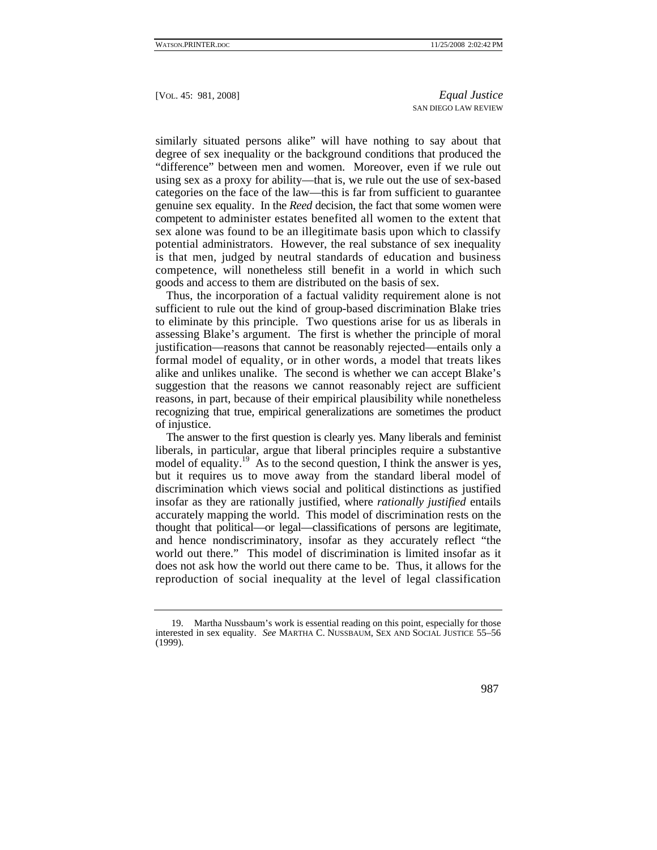similarly situated persons alike" will have nothing to say about that degree of sex inequality or the background conditions that produced the "difference" between men and women. Moreover, even if we rule out using sex as a proxy for ability—that is, we rule out the use of sex-based categories on the face of the law—this is far from sufficient to guarantee genuine sex equality. In the *Reed* decision, the fact that some women were competent to administer estates benefited all women to the extent that sex alone was found to be an illegitimate basis upon which to classify potential administrators. However, the real substance of sex inequality is that men, judged by neutral standards of education and business competence, will nonetheless still benefit in a world in which such goods and access to them are distributed on the basis of sex.

Thus, the incorporation of a factual validity requirement alone is not sufficient to rule out the kind of group-based discrimination Blake tries to eliminate by this principle. Two questions arise for us as liberals in assessing Blake's argument. The first is whether the principle of moral justification—reasons that cannot be reasonably rejected—entails only a formal model of equality, or in other words, a model that treats likes alike and unlikes unalike. The second is whether we can accept Blake's suggestion that the reasons we cannot reasonably reject are sufficient reasons, in part, because of their empirical plausibility while nonetheless recognizing that true, empirical generalizations are sometimes the product of injustice.

The answer to the first question is clearly yes. Many liberals and feminist liberals, in particular, argue that liberal principles require a substantive model of equality.<sup>19</sup> As to the second question, I think the answer is yes, but it requires us to move away from the standard liberal model of discrimination which views social and political distinctions as justified insofar as they are rationally justified, where *rationally justified* entails accurately mapping the world. This model of discrimination rests on the thought that political—or legal—classifications of persons are legitimate, and hence nondiscriminatory, insofar as they accurately reflect "the world out there." This model of discrimination is limited insofar as it does not ask how the world out there came to be. Thus, it allows for the reproduction of social inequality at the level of legal classification

 <sup>19.</sup> Martha Nussbaum's work is essential reading on this point, especially for those interested in sex equality. *See* MARTHA C. NUSSBAUM, SEX AND SOCIAL JUSTICE 55–56 (1999).